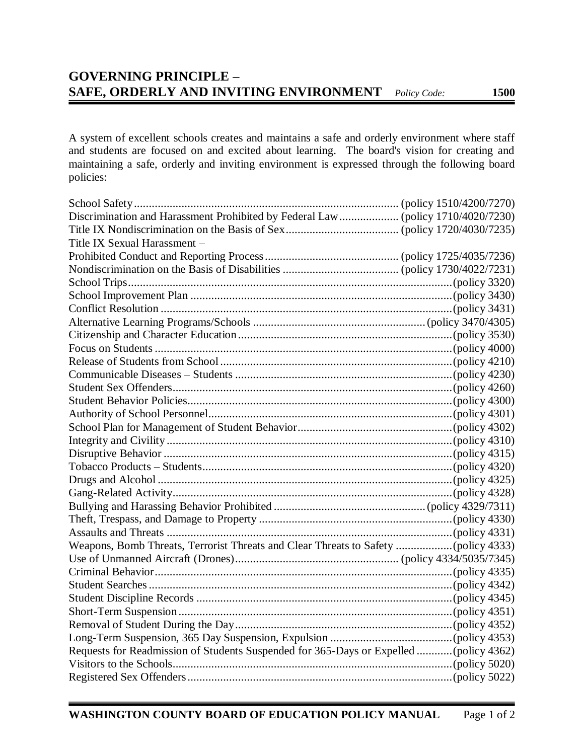A system of excellent schools creates and maintains a safe and orderly environment where staff and students are focused on and excited about learning. The board's vision for creating and maintaining a safe, orderly and inviting environment is expressed through the following board policies:

| Title IX Sexual Harassment -                                                          |  |
|---------------------------------------------------------------------------------------|--|
|                                                                                       |  |
|                                                                                       |  |
|                                                                                       |  |
|                                                                                       |  |
|                                                                                       |  |
|                                                                                       |  |
|                                                                                       |  |
|                                                                                       |  |
|                                                                                       |  |
|                                                                                       |  |
|                                                                                       |  |
|                                                                                       |  |
|                                                                                       |  |
|                                                                                       |  |
|                                                                                       |  |
|                                                                                       |  |
|                                                                                       |  |
|                                                                                       |  |
|                                                                                       |  |
|                                                                                       |  |
|                                                                                       |  |
|                                                                                       |  |
|                                                                                       |  |
|                                                                                       |  |
|                                                                                       |  |
|                                                                                       |  |
|                                                                                       |  |
|                                                                                       |  |
|                                                                                       |  |
|                                                                                       |  |
| Requests for Readmission of Students Suspended for 365-Days or Expelled (policy 4362) |  |
|                                                                                       |  |
|                                                                                       |  |